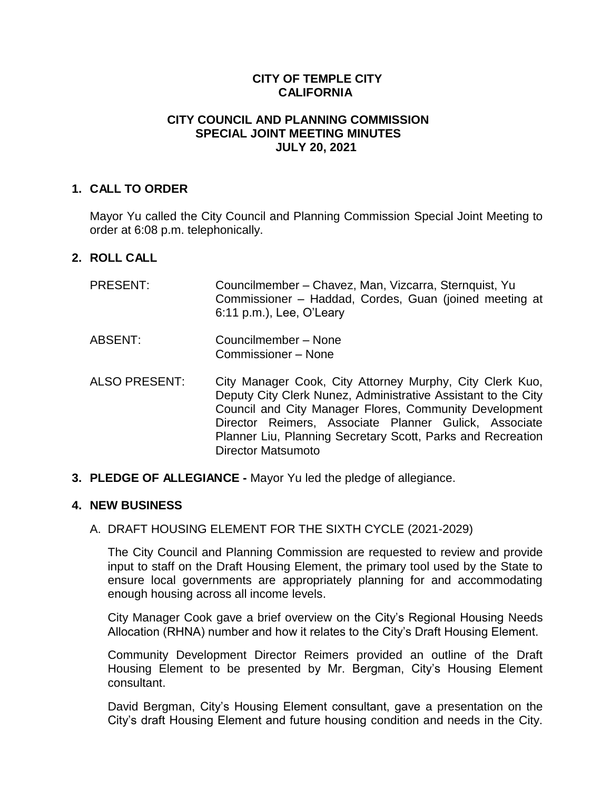# **CITY OF TEMPLE CITY CALIFORNIA**

## **CITY COUNCIL AND PLANNING COMMISSION SPECIAL JOINT MEETING MINUTES JULY 20, 2021**

### **1. CALL TO ORDER**

Mayor Yu called the City Council and Planning Commission Special Joint Meeting to order at 6:08 p.m. telephonically.

### **2. ROLL CALL**

| <b>PRESENT:</b>      | Councilmember - Chavez, Man, Vizcarra, Sternquist, Yu<br>Commissioner - Haddad, Cordes, Guan (joined meeting at<br>6:11 p.m.), Lee, O'Leary                                                                                                                                                                 |
|----------------------|-------------------------------------------------------------------------------------------------------------------------------------------------------------------------------------------------------------------------------------------------------------------------------------------------------------|
| <b>ABSENT:</b>       | Councilmember - None<br>Commissioner – None                                                                                                                                                                                                                                                                 |
| <b>ALSO PRESENT:</b> | City Manager Cook, City Attorney Murphy, City Clerk Kuo,<br>Deputy City Clerk Nunez, Administrative Assistant to the City<br>Council and City Manager Flores, Community Development<br>Director Reimers, Associate Planner Gulick, Associate<br>Planner Liu, Planning Secretary Scott, Parks and Recreation |

**3. PLEDGE OF ALLEGIANCE -** Mayor Yu led the pledge of allegiance.

Director Matsumoto

#### **4. NEW BUSINESS**

#### A. DRAFT HOUSING ELEMENT FOR THE SIXTH CYCLE (2021-2029)

The City Council and Planning Commission are requested to review and provide input to staff on the Draft Housing Element, the primary tool used by the State to ensure local governments are appropriately planning for and accommodating enough housing across all income levels.

City Manager Cook gave a brief overview on the City's Regional Housing Needs Allocation (RHNA) number and how it relates to the City's Draft Housing Element.

Community Development Director Reimers provided an outline of the Draft Housing Element to be presented by Mr. Bergman, City's Housing Element consultant.

David Bergman, City's Housing Element consultant, gave a presentation on the City's draft Housing Element and future housing condition and needs in the City.